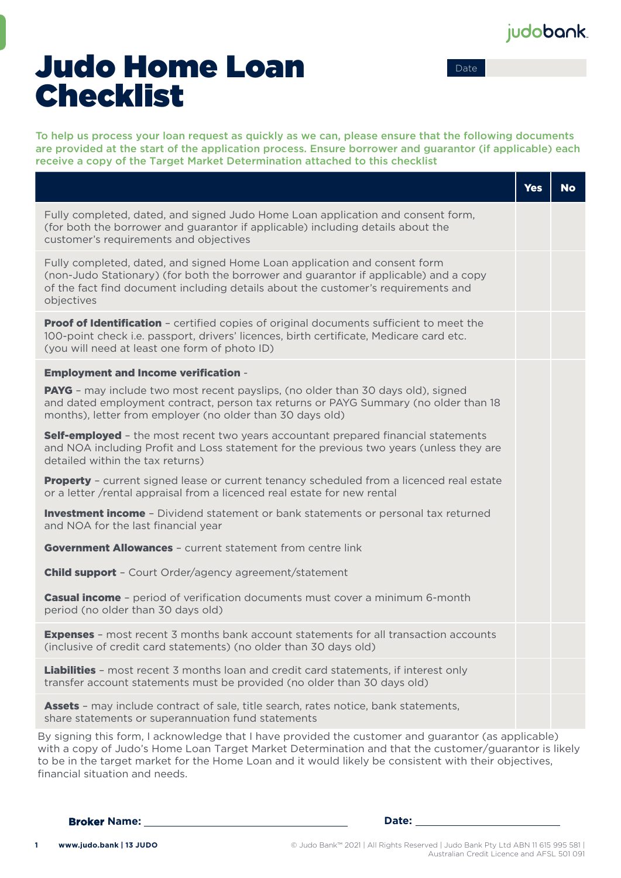## judobank.

Date

# Judo Home Loan Checklist

To help us process your loan request as quickly as we can, please ensure that the following documents are provided at the start of the application process. Ensure borrower and guarantor (if applicable) each receive a copy of the Target Market Determination attached to this checklist

|                                                                                                                                                                                                                                                                      | <b>Yes</b> | No |
|----------------------------------------------------------------------------------------------------------------------------------------------------------------------------------------------------------------------------------------------------------------------|------------|----|
| Fully completed, dated, and signed Judo Home Loan application and consent form,<br>(for both the borrower and guarantor if applicable) including details about the<br>customer's requirements and objectives                                                         |            |    |
| Fully completed, dated, and signed Home Loan application and consent form<br>(non-Judo Stationary) (for both the borrower and guarantor if applicable) and a copy<br>of the fact find document including details about the customer's requirements and<br>objectives |            |    |
| <b>Proof of Identification -</b> certified copies of original documents sufficient to meet the<br>100-point check i.e. passport, drivers' licences, birth certificate, Medicare card etc.<br>(you will need at least one form of photo ID)                           |            |    |
| <b>Employment and Income verification -</b>                                                                                                                                                                                                                          |            |    |
| <b>PAYG</b> - may include two most recent payslips, (no older than 30 days old), signed<br>and dated employment contract, person tax returns or PAYG Summary (no older than 18<br>months), letter from employer (no older than 30 days old)                          |            |    |
| <b>Self-employed</b> - the most recent two years accountant prepared financial statements<br>and NOA including Profit and Loss statement for the previous two years (unless they are<br>detailed within the tax returns)                                             |            |    |
| <b>Property</b> - current signed lease or current tenancy scheduled from a licenced real estate<br>or a letter /rental appraisal from a licenced real estate for new rental                                                                                          |            |    |
| <b>Investment income</b> - Dividend statement or bank statements or personal tax returned<br>and NOA for the last financial year                                                                                                                                     |            |    |
| <b>Government Allowances - current statement from centre link</b>                                                                                                                                                                                                    |            |    |
| <b>Child support</b> - Court Order/agency agreement/statement                                                                                                                                                                                                        |            |    |
| <b>Casual income</b> - period of verification documents must cover a minimum 6-month<br>period (no older than 30 days old)                                                                                                                                           |            |    |
| <b>Expenses</b> - most recent 3 months bank account statements for all transaction accounts<br>(inclusive of credit card statements) (no older than 30 days old)                                                                                                     |            |    |
| <b>Liabilities</b> - most recent 3 months loan and credit card statements, if interest only<br>transfer account statements must be provided (no older than 30 days old)                                                                                              |            |    |
| <b>Assets</b> - may include contract of sale, title search, rates notice, bank statements,<br>share statements or superannuation fund statements                                                                                                                     |            |    |
| By signing this form Lacknowledge that Lhave provided the customer and quarantor (as applicable)                                                                                                                                                                     |            |    |

, signing this form, I acknowledge that I have provided the customer and guarantor (as applicable) with a copy of Judo's Home Loan Target Market Determination and that the customer/guarantor is likely to be in the target market for the Home Loan and it would likely be consistent with their objectives, financial situation and needs.

**Broker Name: Date:**

© Judo Bank™ 2021 | All Rights Reserved | Judo Bank Pty Ltd ABN 11 615 995 581 | Australian Credit Licence and AFSL 501 091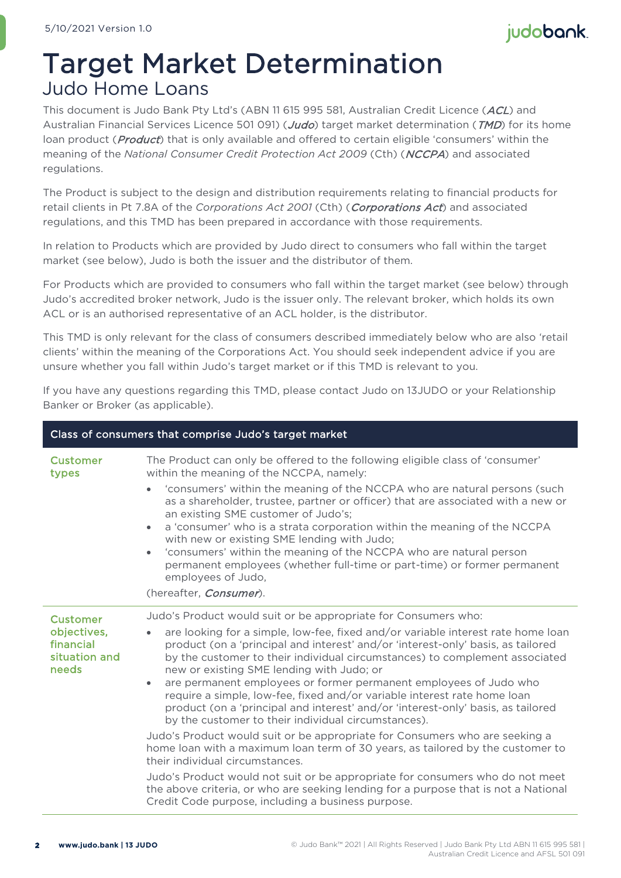## judobank.

# Target Market Determination Judo Home Loans

This document is Judo Bank Pty Ltd's (ABN 11 615 995 581, Australian Credit Licence (ACL) and Australian Financial Services Licence 501 091) (Judo) target market determination (TMD) for its home loan product (*Product*) that is only available and offered to certain eligible 'consumers' within the meaning of the *National Consumer Credit Protection Act 2009* (Cth) (NCCPA) and associated regulations.

The Product is subject to the design and distribution requirements relating to financial products for retail clients in Pt 7.8A of the *Corporations Act 2001* (Cth) (Corporations Act) and associated regulations, and this TMD has been prepared in accordance with those requirements.

In relation to Products which are provided by Judo direct to consumers who fall within the target market (see below), Judo is both the issuer and the distributor of them.

For Products which are provided to consumers who fall within the target market (see below) through Judo's accredited broker network, Judo is the issuer only. The relevant broker, which holds its own ACL or is an authorised representative of an ACL holder, is the distributor.

This TMD is only relevant for the class of consumers described immediately below who are also 'retail clients' within the meaning of the Corporations Act. You should seek independent advice if you are unsure whether you fall within Judo's target market or if this TMD is relevant to you.

If you have any questions regarding this TMD, please contact Judo on 13JUDO or your Relationship Banker or Broker (as applicable).

| Class of consumers that comprise Judo's target market                 |                                                                                                                                                                                                                                                                                                                                                                                                                                                                                                                                                                                                                                                                                                                                                                                                                                                                                                                                                                                                                                                                                                               |  |  |  |
|-----------------------------------------------------------------------|---------------------------------------------------------------------------------------------------------------------------------------------------------------------------------------------------------------------------------------------------------------------------------------------------------------------------------------------------------------------------------------------------------------------------------------------------------------------------------------------------------------------------------------------------------------------------------------------------------------------------------------------------------------------------------------------------------------------------------------------------------------------------------------------------------------------------------------------------------------------------------------------------------------------------------------------------------------------------------------------------------------------------------------------------------------------------------------------------------------|--|--|--|
| <b>Customer</b><br>types                                              | The Product can only be offered to the following eligible class of 'consumer'<br>within the meaning of the NCCPA, namely:<br>'consumers' within the meaning of the NCCPA who are natural persons (such<br>as a shareholder, trustee, partner or officer) that are associated with a new or<br>an existing SME customer of Judo's;<br>a 'consumer' who is a strata corporation within the meaning of the NCCPA<br>$\bullet$<br>with new or existing SME lending with Judo;<br>'consumers' within the meaning of the NCCPA who are natural person<br>$\bullet$<br>permanent employees (whether full-time or part-time) or former permanent<br>employees of Judo,<br>(hereafter, Consumer).                                                                                                                                                                                                                                                                                                                                                                                                                      |  |  |  |
| <b>Customer</b><br>objectives,<br>financial<br>situation and<br>needs | Judo's Product would suit or be appropriate for Consumers who:<br>are looking for a simple, low-fee, fixed and/or variable interest rate home loan<br>product (on a 'principal and interest' and/or 'interest-only' basis, as tailored<br>by the customer to their individual circumstances) to complement associated<br>new or existing SME lending with Judo; or<br>are permanent employees or former permanent employees of Judo who<br>$\bullet$<br>require a simple, low-fee, fixed and/or variable interest rate home loan<br>product (on a 'principal and interest' and/or 'interest-only' basis, as tailored<br>by the customer to their individual circumstances).<br>Judo's Product would suit or be appropriate for Consumers who are seeking a<br>home loan with a maximum loan term of 30 years, as tailored by the customer to<br>their individual circumstances.<br>Judo's Product would not suit or be appropriate for consumers who do not meet<br>the above criteria, or who are seeking lending for a purpose that is not a National<br>Credit Code purpose, including a business purpose. |  |  |  |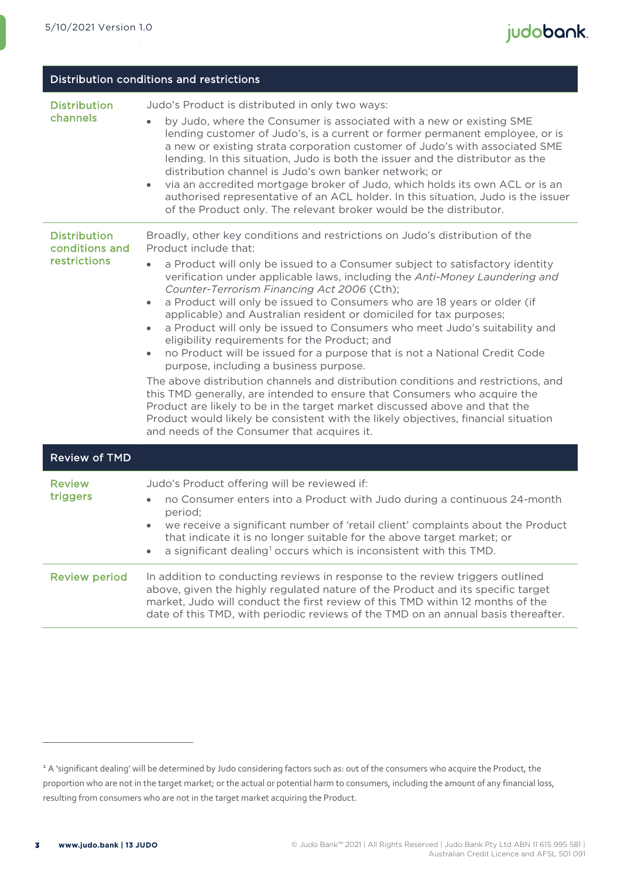| Distribution conditions and restrictions              |                                                                                                                                                                                                                                                                                                                                                                                                                                                                                                                                                                                                                                                                                                                                                                                                                                                                                                                                                                                                                                                                                                                                                                       |  |  |
|-------------------------------------------------------|-----------------------------------------------------------------------------------------------------------------------------------------------------------------------------------------------------------------------------------------------------------------------------------------------------------------------------------------------------------------------------------------------------------------------------------------------------------------------------------------------------------------------------------------------------------------------------------------------------------------------------------------------------------------------------------------------------------------------------------------------------------------------------------------------------------------------------------------------------------------------------------------------------------------------------------------------------------------------------------------------------------------------------------------------------------------------------------------------------------------------------------------------------------------------|--|--|
| <b>Distribution</b><br>channels                       | Judo's Product is distributed in only two ways:<br>by Judo, where the Consumer is associated with a new or existing SME<br>$\bullet$<br>lending customer of Judo's, is a current or former permanent employee, or is<br>a new or existing strata corporation customer of Judo's with associated SME<br>lending. In this situation, Judo is both the issuer and the distributor as the<br>distribution channel is Judo's own banker network; or<br>via an accredited mortgage broker of Judo, which holds its own ACL or is an<br>$\bullet$<br>authorised representative of an ACL holder. In this situation, Judo is the issuer<br>of the Product only. The relevant broker would be the distributor.                                                                                                                                                                                                                                                                                                                                                                                                                                                                 |  |  |
| <b>Distribution</b><br>conditions and<br>restrictions | Broadly, other key conditions and restrictions on Judo's distribution of the<br>Product include that:<br>a Product will only be issued to a Consumer subject to satisfactory identity<br>$\bullet$<br>verification under applicable laws, including the Anti-Money Laundering and<br>Counter-Terrorism Financing Act 2006 (Cth);<br>a Product will only be issued to Consumers who are 18 years or older (if<br>$\bullet$<br>applicable) and Australian resident or domiciled for tax purposes;<br>a Product will only be issued to Consumers who meet Judo's suitability and<br>$\bullet$<br>eligibility requirements for the Product; and<br>no Product will be issued for a purpose that is not a National Credit Code<br>$\bullet$<br>purpose, including a business purpose.<br>The above distribution channels and distribution conditions and restrictions, and<br>this TMD generally, are intended to ensure that Consumers who acquire the<br>Product are likely to be in the target market discussed above and that the<br>Product would likely be consistent with the likely objectives, financial situation<br>and needs of the Consumer that acquires it. |  |  |
| <b>Review of TMD</b>                                  |                                                                                                                                                                                                                                                                                                                                                                                                                                                                                                                                                                                                                                                                                                                                                                                                                                                                                                                                                                                                                                                                                                                                                                       |  |  |
| <b>Review</b><br>triggers                             | Judo's Product offering will be reviewed if:<br>no Consumer enters into a Product with Judo during a continuous 24-month<br>$\bullet$<br>period;<br>we receive a significant number of 'retail client' complaints about the Product<br>$\bullet$<br>that indicate it is no longer suitable for the above target market; or<br>a significant dealing <sup>1</sup> occurs which is inconsistent with this TMD.                                                                                                                                                                                                                                                                                                                                                                                                                                                                                                                                                                                                                                                                                                                                                          |  |  |
| <b>Review period</b>                                  | In addition to conducting reviews in response to the review triggers outlined<br>above, given the highly regulated nature of the Product and its specific target<br>market, Judo will conduct the first review of this TMD within 12 months of the<br>date of this TMD, with periodic reviews of the TMD on an annual basis thereafter.                                                                                                                                                                                                                                                                                                                                                                                                                                                                                                                                                                                                                                                                                                                                                                                                                               |  |  |

<span id="page-2-0"></span><sup>&</sup>lt;sup>1</sup> A 'significant dealing' will be determined by Judo considering factors such as: out of the consumers who acquire the Product, the proportion who are not in the target market; or the actual or potential harm to consumers, including the amount of any financial loss, resulting from consumers who are not in the target market acquiring the Product.